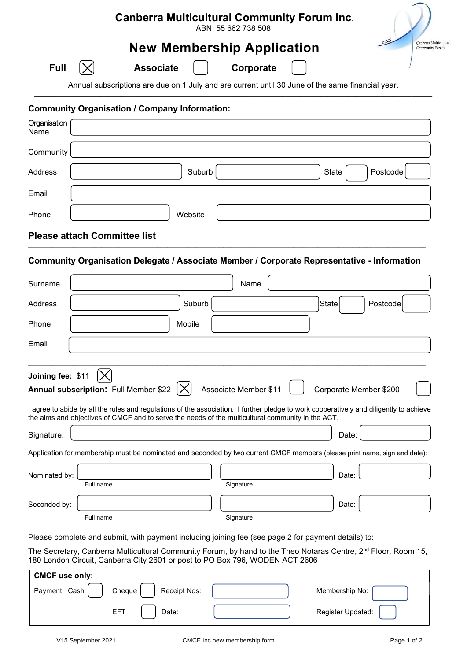# Canberra Multicultural Community Forum Inc.

ABN: 55 662 738 508

# New Membership Application



Annual subscriptions are due on 1 July and are current until 30 June of the same financial year.  $\_$  , and the state of the state of the state of the state of the state of the state of the state of the state of the state of the state of the state of the state of the state of the state of the state of the state of the

### Community Organisation / Company Information:

| Organisation (<br>Name |                             |
|------------------------|-----------------------------|
| Community              |                             |
| Address                | Postcode<br>Suburb<br>State |
| Email                  |                             |
| Phone                  | Website                     |

#### Please attach Committee list  $\_$  , and the set of the set of the set of the set of the set of the set of the set of the set of the set of the set of the set of the set of the set of the set of the set of the set of the set of the set of the set of th

### Community Organisation Delegate / Associate Member / Corporate Representative - Information

| Surname                                 | Name                                                                                                                                                                                                                                                                                                                                                                                                  |                              |                          |          |  |  |
|-----------------------------------------|-------------------------------------------------------------------------------------------------------------------------------------------------------------------------------------------------------------------------------------------------------------------------------------------------------------------------------------------------------------------------------------------------------|------------------------------|--------------------------|----------|--|--|
| Address                                 | Suburb                                                                                                                                                                                                                                                                                                                                                                                                |                              | State                    | Postcode |  |  |
| Phone                                   | Mobile                                                                                                                                                                                                                                                                                                                                                                                                |                              |                          |          |  |  |
| Email                                   |                                                                                                                                                                                                                                                                                                                                                                                                       |                              |                          |          |  |  |
| Joining fee: \$11                       | Annual subscription: Full Member \$22                                                                                                                                                                                                                                                                                                                                                                 | <b>Associate Member \$11</b> | Corporate Member \$200   |          |  |  |
|                                         | I agree to abide by all the rules and regulations of the association. I further pledge to work cooperatively and diligently to achieve<br>the aims and objectives of CMCF and to serve the needs of the multicultural community in the ACT.                                                                                                                                                           |                              |                          |          |  |  |
| Signature:                              |                                                                                                                                                                                                                                                                                                                                                                                                       |                              | Date:                    |          |  |  |
|                                         | Application for membership must be nominated and seconded by two current CMCF members (please print name, sign and date):                                                                                                                                                                                                                                                                             |                              |                          |          |  |  |
| Nominated by:                           | Full name                                                                                                                                                                                                                                                                                                                                                                                             | Signature                    | Date:                    |          |  |  |
| Seconded by:                            |                                                                                                                                                                                                                                                                                                                                                                                                       |                              | Date:                    |          |  |  |
|                                         | Full name                                                                                                                                                                                                                                                                                                                                                                                             | Signature                    |                          |          |  |  |
|                                         | Please complete and submit, with payment including joining fee (see page 2 for payment details) to:                                                                                                                                                                                                                                                                                                   |                              |                          |          |  |  |
|                                         | The Secretary, Canberra Multicultural Community Forum, by hand to the Theo Notaras Centre, 2 <sup>nd</sup> Floor, Room 15,<br>180 London Circuit, Canberra City 2601 or post to PO Box 796, WODEN ACT 2606                                                                                                                                                                                            |                              |                          |          |  |  |
| <b>CMCF use only:</b><br><b>PUILLER</b> | $\overline{1}$ $\overline{2}$ $\overline{3}$ $\overline{4}$ $\overline{1}$ $\overline{2}$ $\overline{3}$ $\overline{4}$ $\overline{2}$ $\overline{3}$ $\overline{4}$ $\overline{2}$ $\overline{3}$ $\overline{4}$ $\overline{2}$ $\overline{3}$ $\overline{4}$ $\overline{2}$ $\overline{3}$ $\overline{4}$ $\overline{2}$ $\overline{3}$ $\overline{4}$ $\overline{2}$ $\overline{$<br>$\sim$ $\sim$ |                              | <b>A A A A A A A A A</b> |          |  |  |

| <b>CIVICF USE ONLY:</b> |            |              |  |                   |  |  |  |
|-------------------------|------------|--------------|--|-------------------|--|--|--|
| Payment: Cash           | Cheque     | Receipt Nos: |  | Membership No:    |  |  |  |
|                         | <b>EFT</b> | Date:        |  | Register Updated: |  |  |  |